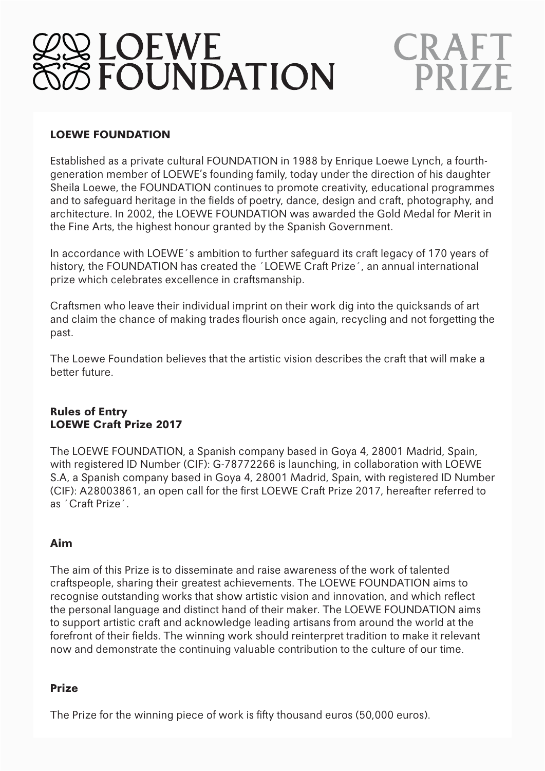# **Q LOEWE<br>8 FOUNDATION**

# CRAFT **PRIZF**

# **LOEWE FOUNDATION**

Established as a private cultural FOUNDATION in 1988 by Enrique Loewe Lynch, a fourthgeneration member of LOEWE's founding family, today under the direction of his daughter Sheila Loewe, the FOUNDATION continues to promote creativity, educational programmes and to safeguard heritage in the fields of poetry, dance, design and craft, photography, and architecture. In 2002, the LOEWE FOUNDATION was awarded the Gold Medal for Merit in the Fine Arts, the highest honour granted by the Spanish Government.

In accordance with LOEWE´s ambition to further safeguard its craft legacy of 170 years of history, the FOUNDATION has created the ´LOEWE Craft Prize´, an annual international prize which celebrates excellence in craftsmanship.

Craftsmen who leave their individual imprint on their work dig into the quicksands of art and claim the chance of making trades flourish once again, recycling and not forgetting the past.

The Loewe Foundation believes that the artistic vision describes the craft that will make a better future.

#### **Rules of Entry LOEWE Craft Prize 2017**

The LOEWE FOUNDATION, a Spanish company based in Goya 4, 28001 Madrid, Spain, with registered ID Number (CIF): G-78772266 is launching, in collaboration with LOEWE S.A, a Spanish company based in Goya 4, 28001 Madrid, Spain, with registered ID Number (CIF): A28003861, an open call for the first LOEWE Craft Prize 2017, hereafter referred to as ´Craft Prize´.

# **Aim**

The aim of this Prize is to disseminate and raise awareness of the work of talented craftspeople, sharing their greatest achievements. The LOEWE FOUNDATION aims to recognise outstanding works that show artistic vision and innovation, and which reflect the personal language and distinct hand of their maker. The LOEWE FOUNDATION aims to support artistic craft and acknowledge leading artisans from around the world at the forefront of their fields. The winning work should reinterpret tradition to make it relevant now and demonstrate the continuing valuable contribution to the culture of our time.

# **Prize**

The Prize for the winning piece of work is fifty thousand euros (50,000 euros).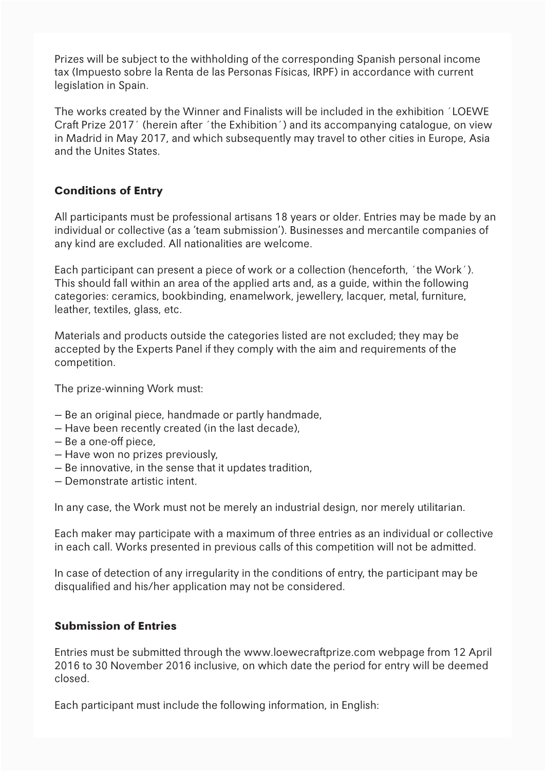Prizes will be subject to the withholding of the corresponding Spanish personal income tax (Impuesto sobre la Renta de las Personas Físicas, IRPF) in accordance with current legislation in Spain.

The works created by the Winner and Finalists will be included in the exhibition ´LOEWE Craft Prize 2017´ (herein after ´the Exhibition´) and its accompanying catalogue, on view in Madrid in May 2017, and which subsequently may travel to other cities in Europe, Asia and the Unites States.

# **Conditions of Entry**

All participants must be professional artisans 18 years or older. Entries may be made by an individual or collective (as a 'team submission'). Businesses and mercantile companies of any kind are excluded. All nationalities are welcome.

Each participant can present a piece of work or a collection (henceforth, ´the Work´). This should fall within an area of the applied arts and, as a guide, within the following categories: ceramics, bookbinding, enamelwork, jewellery, lacquer, metal, furniture, leather, textiles, glass, etc.

Materials and products outside the categories listed are not excluded; they may be accepted by the Experts Panel if they comply with the aim and requirements of the competition.

The prize-winning Work must:

- Be an original piece, handmade or partly handmade,
- Have been recently created (in the last decade),
- Be a one-off piece,
- Have won no prizes previously,
- Be innovative, in the sense that it updates tradition,
- Demonstrate artistic intent.

In any case, the Work must not be merely an industrial design, nor merely utilitarian.

Each maker may participate with a maximum of three entries as an individual or collective in each call. Works presented in previous calls of this competition will not be admitted.

In case of detection of any irregularity in the conditions of entry, the participant may be disqualified and his/her application may not be considered.

# **Submission of Entries**

Entries must be submitted through the www.loewecraftprize.com webpage from 12 April 2016 to 30 November 2016 inclusive, on which date the period for entry will be deemed closed.

Each participant must include the following information, in English: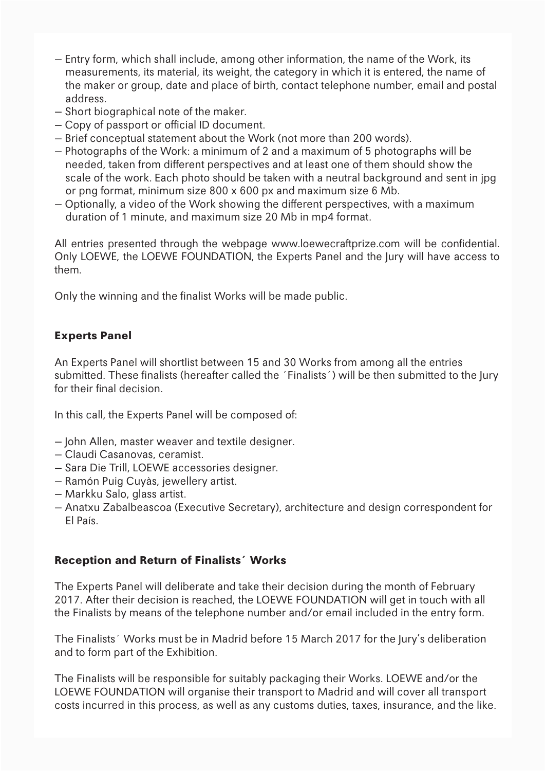- Entry form, which shall include, among other information, the name of the Work, its measurements, its material, its weight, the category in which it is entered, the name of the maker or group, date and place of birth, contact telephone number, email and postal address.
- Short biographical note of the maker.
- Copy of passport or official ID document.
- Brief conceptual statement about the Work (not more than 200 words).
- Photographs of the Work: a minimum of 2 and a maximum of 5 photographs will be needed, taken from different perspectives and at least one of them should show the scale of the work. Each photo should be taken with a neutral background and sent in jpg or png format, minimum size 800 x 600 px and maximum size 6 Mb.
- Optionally, a video of the Work showing the different perspectives, with a maximum duration of 1 minute, and maximum size 20 Mb in mp4 format.

All entries presented through the webpage www.loewecraftprize.com will be confidential. Only LOEWE, the LOEWE FOUNDATION, the Experts Panel and the Jury will have access to them.

Only the winning and the finalist Works will be made public.

#### **Experts Panel**

An Experts Panel will shortlist between 15 and 30 Works from among all the entries submitted. These finalists (hereafter called the 'Finalists') will be then submitted to the Jury for their final decision.

In this call, the Experts Panel will be composed of:

- John Allen, master weaver and textile designer.
- Claudi Casanovas, ceramist.
- Sara Die Trill, LOEWE accessories designer.
- Ramón Puig Cuyàs, jewellery artist.
- Markku Salo, glass artist.
- Anatxu Zabalbeascoa (Executive Secretary), architecture and design correspondent for El País.

#### **Reception and Return of Finalists´ Works**

The Experts Panel will deliberate and take their decision during the month of February 2017. After their decision is reached, the LOEWE FOUNDATION will get in touch with all the Finalists by means of the telephone number and/or email included in the entry form.

The Finalists´ Works must be in Madrid before 15 March 2017 for the Jury's deliberation and to form part of the Exhibition.

The Finalists will be responsible for suitably packaging their Works. LOEWE and/or the LOEWE FOUNDATION will organise their transport to Madrid and will cover all transport costs incurred in this process, as well as any customs duties, taxes, insurance, and the like.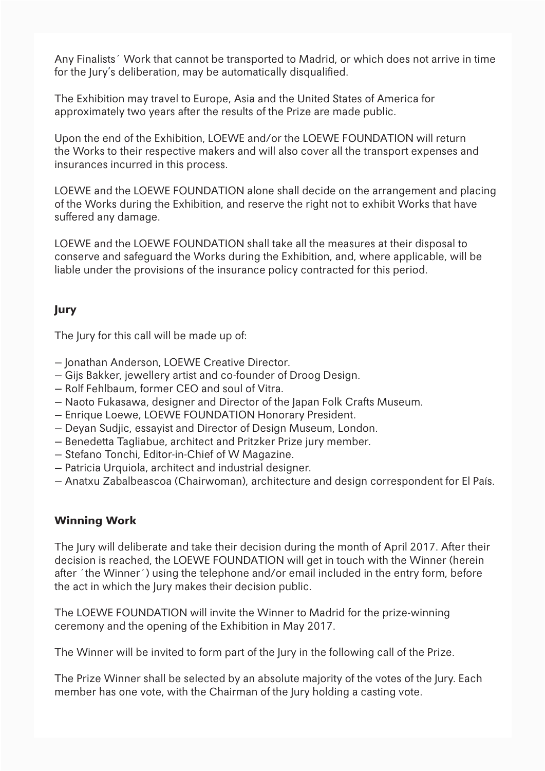Any Finalists´ Work that cannot be transported to Madrid, or which does not arrive in time for the Jury's deliberation, may be automatically disqualified.

The Exhibition may travel to Europe, Asia and the United States of America for approximately two years after the results of the Prize are made public.

Upon the end of the Exhibition, LOEWE and/or the LOEWE FOUNDATION will return the Works to their respective makers and will also cover all the transport expenses and insurances incurred in this process.

LOEWE and the LOEWE FOUNDATION alone shall decide on the arrangement and placing of the Works during the Exhibition, and reserve the right not to exhibit Works that have suffered any damage.

LOEWE and the LOEWE FOUNDATION shall take all the measures at their disposal to conserve and safeguard the Works during the Exhibition, and, where applicable, will be liable under the provisions of the insurance policy contracted for this period.

# **Jury**

The Jury for this call will be made up of:

- Jonathan Anderson, LOEWE Creative Director.
- Gijs Bakker, jewellery artist and co-founder of Droog Design.
- Rolf Fehlbaum, former CEO and soul of Vitra.
- Naoto Fukasawa, designer and Director of the Japan Folk Crafts Museum.
- Enrique Loewe, LOEWE FOUNDATION Honorary President.
- Deyan Sudjic, essayist and Director of Design Museum, London.
- Benedetta Tagliabue, architect and Pritzker Prize jury member.
- Stefano Tonchi, Editor-in-Chief of W Magazine.
- Patricia Urquiola, architect and industrial designer.
- Anatxu Zabalbeascoa (Chairwoman), architecture and design correspondent for El País.

#### **Winning Work**

The Jury will deliberate and take their decision during the month of April 2017. After their decision is reached, the LOEWE FOUNDATION will get in touch with the Winner (herein after ´the Winner´) using the telephone and/or email included in the entry form, before the act in which the Jury makes their decision public.

The LOEWE FOUNDATION will invite the Winner to Madrid for the prize-winning ceremony and the opening of the Exhibition in May 2017.

The Winner will be invited to form part of the Jury in the following call of the Prize.

The Prize Winner shall be selected by an absolute majority of the votes of the Jury. Each member has one vote, with the Chairman of the Jury holding a casting vote.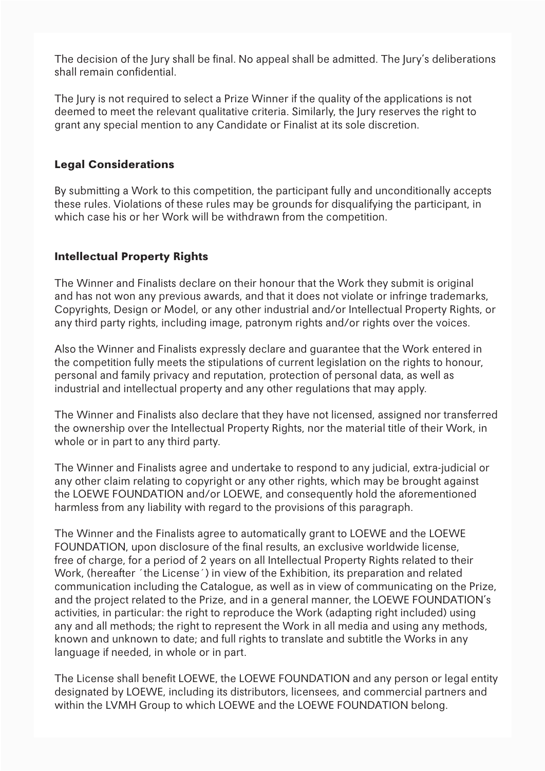The decision of the Jury shall be final. No appeal shall be admitted. The Jury's deliberations shall remain confidential.

The Jury is not required to select a Prize Winner if the quality of the applications is not deemed to meet the relevant qualitative criteria. Similarly, the Jury reserves the right to grant any special mention to any Candidate or Finalist at its sole discretion.

#### **Legal Considerations**

By submitting a Work to this competition, the participant fully and unconditionally accepts these rules. Violations of these rules may be grounds for disqualifying the participant, in which case his or her Work will be withdrawn from the competition.

# **Intellectual Property Rights**

The Winner and Finalists declare on their honour that the Work they submit is original and has not won any previous awards, and that it does not violate or infringe trademarks, Copyrights, Design or Model, or any other industrial and/or Intellectual Property Rights, or any third party rights, including image, patronym rights and/or rights over the voices.

Also the Winner and Finalists expressly declare and guarantee that the Work entered in the competition fully meets the stipulations of current legislation on the rights to honour, personal and family privacy and reputation, protection of personal data, as well as industrial and intellectual property and any other regulations that may apply.

The Winner and Finalists also declare that they have not licensed, assigned nor transferred the ownership over the Intellectual Property Rights, nor the material title of their Work, in whole or in part to any third party.

The Winner and Finalists agree and undertake to respond to any judicial, extra-judicial or any other claim relating to copyright or any other rights, which may be brought against the LOEWE FOUNDATION and/or LOEWE, and consequently hold the aforementioned harmless from any liability with regard to the provisions of this paragraph.

The Winner and the Finalists agree to automatically grant to LOEWE and the LOEWE FOUNDATION, upon disclosure of the final results, an exclusive worldwide license, free of charge, for a period of 2 years on all Intellectual Property Rights related to their Work, (hereafter ´the License´) in view of the Exhibition, its preparation and related communication including the Catalogue, as well as in view of communicating on the Prize, and the project related to the Prize, and in a general manner, the LOEWE FOUNDATION's activities, in particular: the right to reproduce the Work (adapting right included) using any and all methods; the right to represent the Work in all media and using any methods, known and unknown to date; and full rights to translate and subtitle the Works in any language if needed, in whole or in part.

The License shall benefit LOEWE, the LOEWE FOUNDATION and any person or legal entity designated by LOEWE, including its distributors, licensees, and commercial partners and within the LVMH Group to which LOEWE and the LOEWE FOUNDATION belong.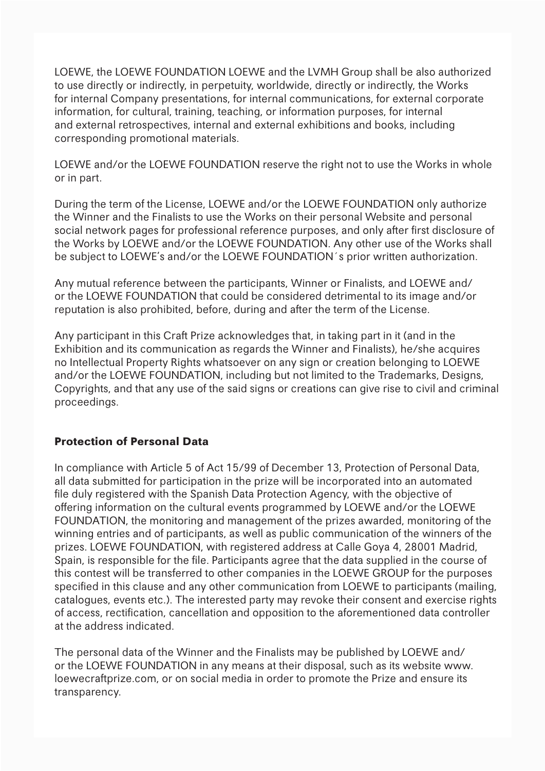LOEWE, the LOEWE FOUNDATION LOEWE and the LVMH Group shall be also authorized to use directly or indirectly, in perpetuity, worldwide, directly or indirectly, the Works for internal Company presentations, for internal communications, for external corporate information, for cultural, training, teaching, or information purposes, for internal and external retrospectives, internal and external exhibitions and books, including corresponding promotional materials.

LOEWE and/or the LOEWE FOUNDATION reserve the right not to use the Works in whole or in part.

During the term of the License, LOEWE and/or the LOEWE FOUNDATION only authorize the Winner and the Finalists to use the Works on their personal Website and personal social network pages for professional reference purposes, and only after first disclosure of the Works by LOEWE and/or the LOEWE FOUNDATION. Any other use of the Works shall be subject to LOEWE's and/or the LOEWE FOUNDATION´s prior written authorization.

Any mutual reference between the participants, Winner or Finalists, and LOEWE and/ or the LOEWE FOUNDATION that could be considered detrimental to its image and/or reputation is also prohibited, before, during and after the term of the License.

Any participant in this Craft Prize acknowledges that, in taking part in it (and in the Exhibition and its communication as regards the Winner and Finalists), he/she acquires no Intellectual Property Rights whatsoever on any sign or creation belonging to LOEWE and/or the LOEWE FOUNDATION, including but not limited to the Trademarks, Designs, Copyrights, and that any use of the said signs or creations can give rise to civil and criminal proceedings.

#### **Protection of Personal Data**

In compliance with Article 5 of Act 15/99 of December 13, Protection of Personal Data, all data submitted for participation in the prize will be incorporated into an automated file duly registered with the Spanish Data Protection Agency, with the objective of offering information on the cultural events programmed by LOEWE and/or the LOEWE FOUNDATION, the monitoring and management of the prizes awarded, monitoring of the winning entries and of participants, as well as public communication of the winners of the prizes. LOEWE FOUNDATION, with registered address at Calle Goya 4, 28001 Madrid, Spain, is responsible for the file. Participants agree that the data supplied in the course of this contest will be transferred to other companies in the LOEWE GROUP for the purposes specified in this clause and any other communication from LOEWE to participants (mailing, catalogues, events etc.). The interested party may revoke their consent and exercise rights of access, rectification, cancellation and opposition to the aforementioned data controller at the address indicated.

The personal data of the Winner and the Finalists may be published by LOEWE and/ or the LOEWE FOUNDATION in any means at their disposal, such as its website www. loewecraftprize.com, or on social media in order to promote the Prize and ensure its transparency.